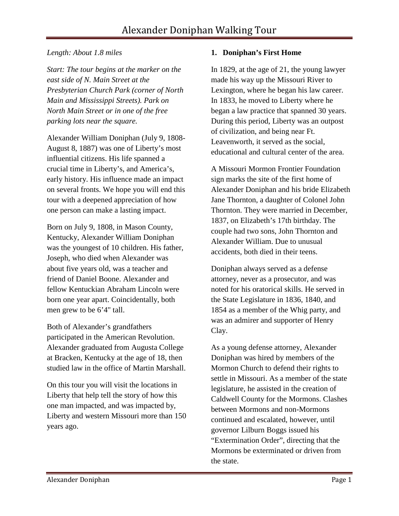### *Length: About 1.8 miles*

*Start: The tour begins at the marker on the east side of N. Main Street at the Presbyterian Church Park (corner of North Main and Mississippi Streets). Park on North Main Street or in one of the free parking lots near the square.* 

Alexander William Doniphan (July 9, 1808- August 8, 1887) was one of Liberty's most influential citizens. His life spanned a crucial time in Liberty's, and America's, early history. His influence made an impact on several fronts. We hope you will end this tour with a deepened appreciation of how one person can make a lasting impact.

Born on July 9, 1808, in Mason County, Kentucky, Alexander William Doniphan was the youngest of 10 children. His father, Joseph, who died when Alexander was about five years old, was a teacher and friend of Daniel Boone. Alexander and fellow Kentuckian Abraham Lincoln were born one year apart. Coincidentally, both men grew to be 6'4" tall.

Both of Alexander's grandfathers participated in the American Revolution. Alexander graduated from Augusta College at Bracken, Kentucky at the age of 18, then studied law in the office of Martin Marshall.

On this tour you will visit the locations in Liberty that help tell the story of how this one man impacted, and was impacted by, Liberty and western Missouri more than 150 years ago.

## **1. Doniphan's First Home**

In 1829, at the age of 21, the young lawyer made his way up the Missouri River to Lexington, where he began his law career. In 1833, he moved to Liberty where he began a law practice that spanned 30 years. During this period, Liberty was an outpost of civilization, and being near Ft. Leavenworth, it served as the social, educational and cultural center of the area.

A Missouri Mormon Frontier Foundation sign marks the site of the first home of Alexander Doniphan and his bride Elizabeth Jane Thornton, a daughter of Colonel John Thornton. They were married in December, 1837, on Elizabeth's 17th birthday. The couple had two sons, John Thornton and Alexander William. Due to unusual accidents, both died in their teens.

Doniphan always served as a defense attorney, never as a prosecutor, and was noted for his oratorical skills. He served in the State Legislature in 1836, 1840, and 1854 as a member of the Whig party, and was an admirer and supporter of Henry Clay.

As a young defense attorney, Alexander Doniphan was hired by members of the Mormon Church to defend their rights to settle in Missouri. As a member of the state legislature, he assisted in the creation of Caldwell County for the Mormons. Clashes between Mormons and non-Mormons continued and escalated, however, until governor Lilburn Boggs issued his "Extermination Order", directing that the Mormons be exterminated or driven from the state.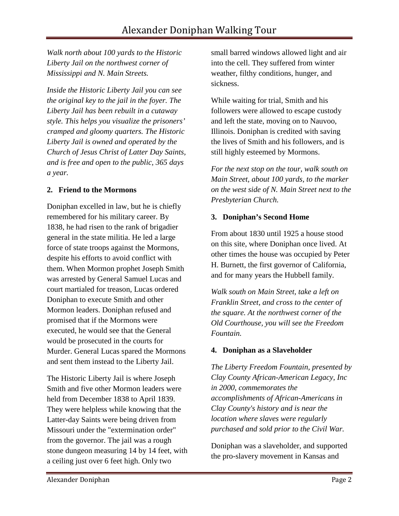*Walk north about 100 yards to the Historic Liberty Jail on the northwest corner of Mississippi and N. Main Streets.*

*Inside the Historic Liberty Jail you can see the original key to the jail in the foyer. The Liberty Jail has been rebuilt in a cutaway style. This helps you visualize the prisoners' cramped and gloomy quarters. The Historic Liberty Jail is owned and operated by the Church of Jesus Christ of Latter Day Saints, and is free and open to the public, 365 days a year.* 

#### **2. Friend to the Mormons**

Doniphan excelled in law, but he is chiefly remembered for his military career. By 1838, he had risen to the rank of brigadier general in the state militia. He led a large force of state troops against the Mormons, despite his efforts to avoid conflict with them. When Mormon prophet Joseph Smith was arrested by General Samuel Lucas and court martialed for treason, Lucas ordered Doniphan to execute Smith and other Mormon leaders. Doniphan refused and promised that if the Mormons were executed, he would see that the General would be prosecuted in the courts for Murder. General Lucas spared the Mormons and sent them instead to the Liberty Jail.

The Historic Liberty Jail is where Joseph Smith and five other Mormon leaders were held from December 1838 to April 1839. They were helpless while knowing that the Latter-day Saints were being driven from Missouri under the "extermination order" from the governor. The jail was a rough stone dungeon measuring 14 by 14 feet, with a ceiling just over 6 feet high. Only two

small barred windows allowed light and air into the cell. They suffered from winter weather, filthy conditions, hunger, and sickness.

While waiting for trial, Smith and his followers were allowed to escape custody and left the state, moving on to Nauvoo, Illinois. Doniphan is credited with saving the lives of Smith and his followers, and is still highly esteemed by Mormons.

*For the next stop on the tour, walk south on Main Street, about 100 yards, to the marker on the west side of N. Main Street next to the Presbyterian Church.*

### **3. Doniphan's Second Home**

From about 1830 until 1925 a house stood on this site, where Doniphan once lived. At other times the house was occupied by Peter H. Burnett, the first governor of California, and for many years the Hubbell family.

*Walk south on Main Street, take a left on Franklin Street, and cross to the center of the square. At the northwest corner of the Old Courthouse, you will see the Freedom Fountain.* 

### **4. Doniphan as a Slaveholder**

*The Liberty Freedom Fountain, presented by Clay County African-American Legacy, Inc in 2000, commemorates the accomplishments of African-Americans in Clay County's history and is near the location where slaves were regularly purchased and sold prior to the Civil War.*

Doniphan was a slaveholder, and supported the pro-slavery movement in Kansas and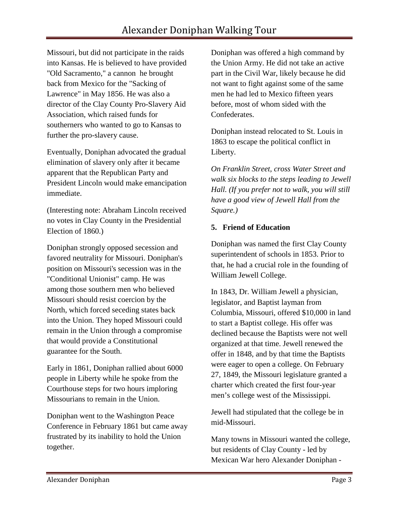Missouri, but did not participate in the raids into Kansas. He is believed to have provided "Old Sacramento," a cannon he brought back from Mexico for the "Sacking of Lawrence" in May 1856. He was also a director of the Clay County Pro-Slavery Aid Association, which raised funds for southerners who wanted to go to Kansas to further the pro-slavery cause.

Eventually, Doniphan advocated the gradual elimination of slavery only after it became apparent that the Republican Party and President Lincoln would make emancipation immediate.

(Interesting note: Abraham Lincoln received no votes in Clay County in the Presidential Election of 1860.)

Doniphan strongly opposed secession and favored neutrality for Missouri. Doniphan's position on Missouri's secession was in the "Conditional Unionist" camp. He was among those southern men who believed Missouri should resist coercion by the North, which forced seceding states back into the Union. They hoped Missouri could remain in the Union through a compromise that would provide a Constitutional guarantee for the South.

Early in 1861, Doniphan rallied about 6000 people in Liberty while he spoke from the Courthouse steps for two hours imploring Missourians to remain in the Union.

Doniphan went to the Washington Peace Conference in February 1861 but came away frustrated by its inability to hold the Union together.

Doniphan was offered a high command by the Union Army. He did not take an active part in the Civil War, likely because he did not want to fight against some of the same men he had led to Mexico fifteen years before, most of whom sided with the Confederates.

Doniphan instead relocated to St. Louis in 1863 to escape the political conflict in Liberty.

*On Franklin Street, cross Water Street and walk six blocks to the steps leading to Jewell Hall. (If you prefer not to walk, you will still have a good view of Jewell Hall from the Square.)*

### **5. Friend of Education**

Doniphan was named the first Clay County superintendent of schools in 1853. Prior to that, he had a crucial role in the founding of William Jewell College.

In 1843, Dr. William Jewell a physician, legislator, and Baptist layman from Columbia, Missouri, offered \$10,000 in land to start a Baptist college. His offer was declined because the Baptists were not well organized at that time. Jewell renewed the offer in 1848, and by that time the Baptists were eager to open a college. On February 27, 1849, the Missouri legislature granted a charter which created the first four-year men's college west of the Mississippi.

Jewell had stipulated that the college be in mid-Missouri.

Many towns in Missouri wanted the college, but residents of Clay County - led by Mexican War hero Alexander Doniphan -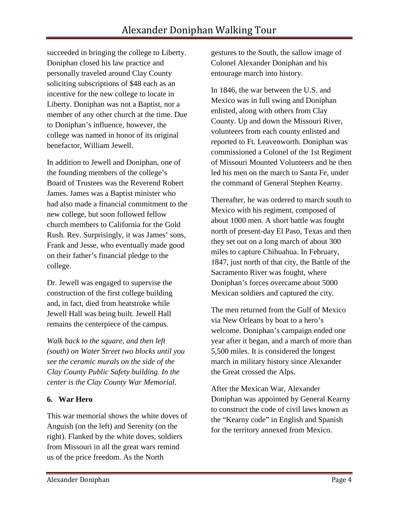succeeded in bringing the college to Liberty. Doniphan closed his law practice and personally traveled around Clay County soliciting subscriptions of \$48 each as an incentive for the new college to locate in Liberty. Doniphan was not a Baptist, nor a member of any other church at the time. Due to Doniphan's influence, however, the college was named in honor of its original benefactor, William Jewell.

In addition to Jewell and Doniphan, one of the founding members of the college's Board of Trustees was the Reverend Robert James. James was a Baptist minister who had also made a financial commitment to the new college, but soon followed fellow church members to California for the Gold Rush. Rev. Surprisingly, it was James' sons, Frank and Jesse, who eventually made good on their father's financial pledge to the college.

Dr. Jewell was engaged to supervise the construction of the first college building and, in fact, died from heatstroke while Jewell Hall was being built. Jewell Hall remains the centerpiece of the campus.

*Walk back to the square, and then left (south) on Water Street two blocks until you see the ceramic murals on the side of the Clay County Public Safety building. In the center is the Clay County War Memorial.* 

### **6. War Hero**

This war memorial shows the white doves of Anguish (on the left) and Serenity (on the right). Flanked by the white doves, soldiers from Missouri in all the great wars remind us of the price freedom. As the North

gestures to the South, the sallow image of Colonel Alexander Doniphan and his entourage march into history.

In 1846, the war between the U.S. and Mexico was in full swing and Doniphan enlisted, along with others from Clay County. Up and down the Missouri River, volunteers from each county enlisted and reported to Ft. Leavenworth. Doniphan was commissioned a Colonel of the 1st Regiment of Missouri Mounted Volunteers and he then led his men on the march to Santa Fe, under the command of General Stephen Kearny.

Thereafter, he was ordered to march south to Mexico with his regiment, composed of about 1000 men. A short battle was fought north of present-day El Paso, Texas and then they set out on a long march of about 300 miles to capture Chihuahua. In February, 1847, just north of that city, the Battle of the Sacramento River was fought, where Doniphan's forces overcame about 5000 Mexican soldiers and captured the city.

The men returned from the Gulf of Mexico via New Orleans by boat to a hero's welcome. Doniphan's campaign ended one year after it began, and a march of more than 5,500 miles. It is considered the longest march in military history since Alexander the Great crossed the Alps.

After the Mexican War, Alexander Doniphan was appointed by General Kearny to construct the code of civil laws known as the "Kearny code" in English and Spanish for the territory annexed from Mexico.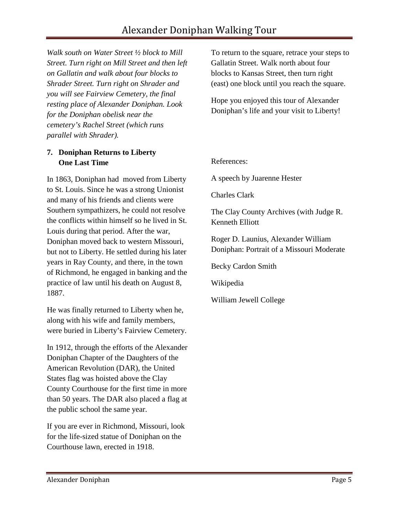*Walk south on Water Street ½ block to Mill Street. Turn right on Mill Street and then left on Gallatin and walk about four blocks to Shrader Street. Turn right on Shrader and you will see Fairview Cemetery, the final resting place of Alexander Doniphan. Look for the Doniphan obelisk near the cemetery's Rachel Street (which runs parallel with Shrader).* 

## **7. Doniphan Returns to Liberty One Last Time**

In 1863, Doniphan had moved from Liberty to St. Louis. Since he was a strong Unionist and many of his friends and clients were Southern sympathizers, he could not resolve the conflicts within himself so he lived in St. Louis during that period. After the war, Doniphan moved back to western Missouri, but not to Liberty. He settled during his later years in Ray County, and there, in the town of Richmond, he engaged in banking and the practice of law until his death on August 8, 1887.

He was finally returned to Liberty when he, along with his wife and family members, were buried in Liberty's Fairview Cemetery.

In 1912, through the efforts of the Alexander Doniphan Chapter of the Daughters of the American Revolution (DAR), the United States flag was hoisted above the Clay County Courthouse for the first time in more than 50 years. The DAR also placed a flag at the public school the same year.

If you are ever in Richmond, Missouri, look for the life-sized statue of Doniphan on the Courthouse lawn, erected in 1918.

To return to the square, retrace your steps to Gallatin Street. Walk north about four blocks to Kansas Street, then turn right (east) one block until you reach the square.

Hope you enjoyed this tour of Alexander Doniphan's life and your visit to Liberty!

References:

A speech by Juarenne Hester

Charles Clark

The Clay County Archives (with Judge R. Kenneth Elliott

Roger D. Launius, Alexander William Doniphan: Portrait of a Missouri Moderate

Becky Cardon Smith

Wikipedia

William Jewell College